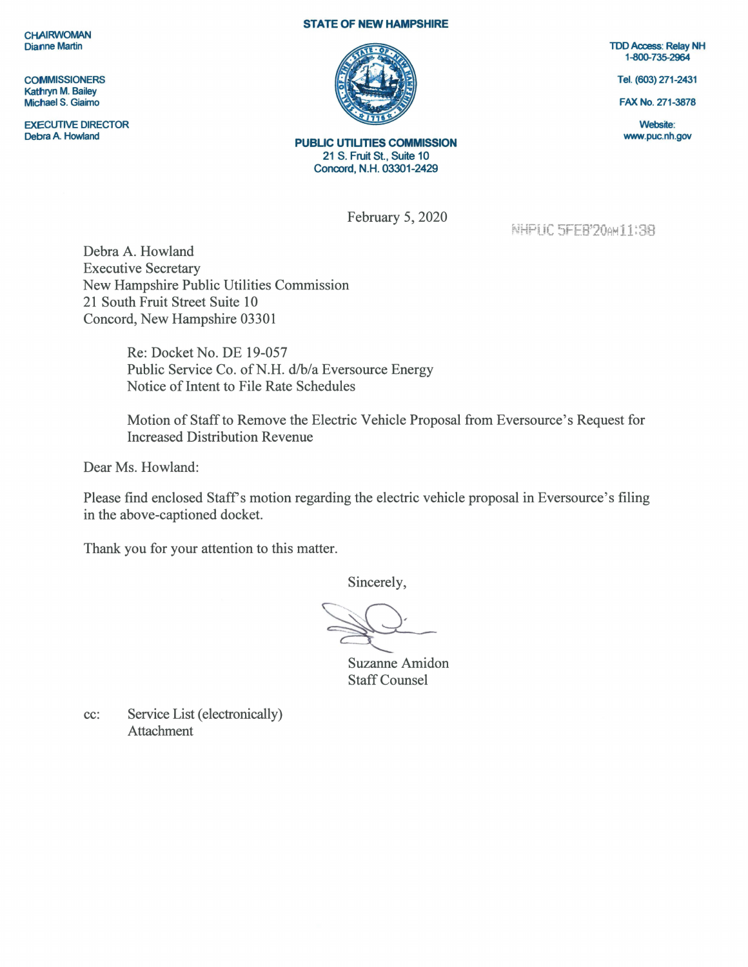**CHAIRWOMAN** Dianne Martin

**COMMISSIONERS** Kathryn M. Bailey Michael S. Giaimo

EXECUTIVE DIRECTOR Debra A. Howland

## **STATE OF NEW HAMPSHIRE**



**PUBLIC UTILITIES COMMISSION**  21 S. Fruit St., Suite 10 Concord, N.H. 03301-2429

February 5, 2020

**TDD Access: Relay NH** 1-800-735-2964

Tel. (603) 271-2431

FAX No. 271-3878

Website: www.puc.nh.gov

**NHPUC 5FEB'20AM11:38** 

Debra A. Howland Executive Secretary New Hampshire Public Utilities Commission 21 South Fruit Street Suite 10 Concord, New Hampshire 03301

> Re: Docket No. DE 19-057 Public Service Co. of N.H. d/b/a Eversource Energy Notice of Intent to File Rate Schedules

Motion of Staff to Remove the Electric Vehicle Proposal from Eversource's Request for Increased Distribution Revenue

Dear Ms. Howland:

Please find enclosed Staff's motion regarding the electric vehicle proposal in Eversource's filing in the above-captioned docket.

Thank you for your attention to this matter.

Sincerely,

Suzanne Amidon Staff Counsel

cc: Service List (electronically) Attachment